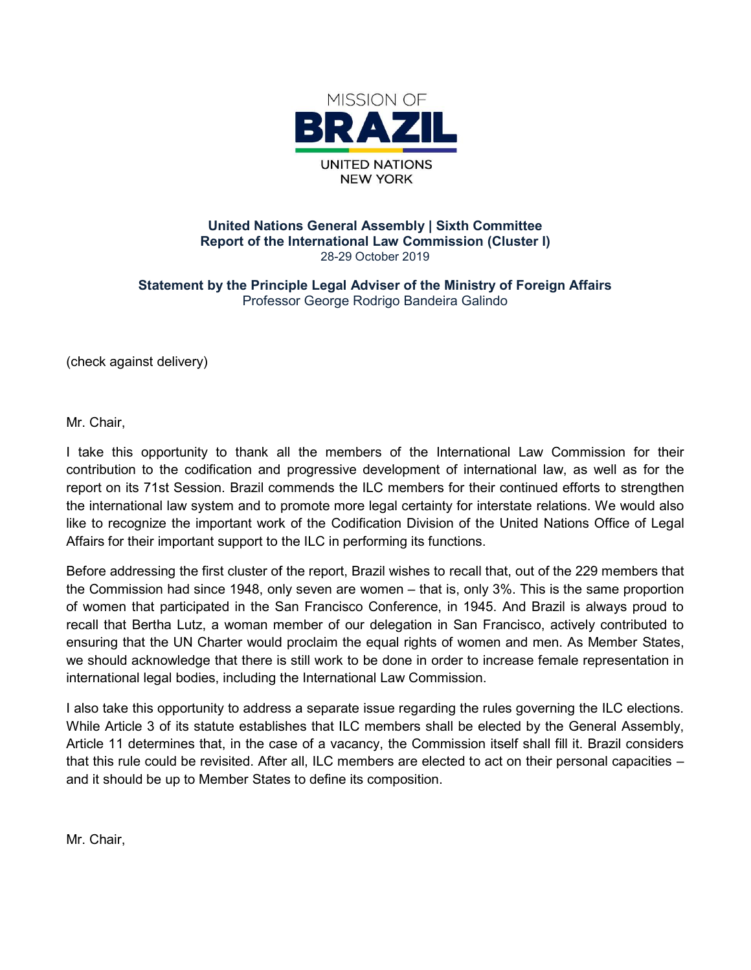

### United Nations General Assembly | Sixth Committee United Nations General Assembly | Sixth Committee<br>Report of the International Law Commission (Cluster I) 28-29 October 2019

Statement by the Principle Legal Adviser of the Ministry of Foreign Affairs Professor George Rodrigo Bandeira Galindo

(check against delivery)

Mr. Chair,

I take this opportunity to thank all the members of the International Law Commission for their I take this opportunity to thank all the members of the International Law Commission for their<br>contribution to the codification and progressive development of international law, as well as for the report on its 71st Session. Brazil commends the ILC members for their continued efforts to strengthen the international law system and to promote more legal certainty for interstate relations. like to recognize the important work of the Codification Division of the United Nations Office of Legal Affairs for their important support to the ILC in performing its functions. il commends the ILC members for their continued efforts to strengthen<br>I to promote more legal certainty for interstate relations. We would also<br>work of the Codification Division of the United Nations Office of Legal relations. We would also

Affairs for their important support to the ILC in performing its functions.<br>Before addressing the first cluster of the report, Brazil wishes to recall that, out of the 229 members that the Commission had since 1948, only seven are women – that is, only 3%. This is the same proportion of women that participated in the San Francisco Conference, in 1945. And Brazil is always proud to recall that Bertha Lutz, a woman member of our delegation in San Francisco, actively contributed to ensuring that the UN Charter would proclaim the equal rights of women and men. As Member we should acknowledge that there is still work to be done in order to increase female representation in international legal bodies, including the International Law Commission. e to recognize the important work of the Codification Division of the United Nations Office of Legal<br>fairs for their important support to the ILC in performing its functions.<br>fore addressing the first cluster of the report

I also take this opportunity to address a separate issue regarding the rules governing the ILC elections. While Article 3 of its statute establishes that ILC members shall be elected by the General Assem Assembly, Article 11 determines that, in the case of a vacancy, the Commission itself shall fill it. Brazil considers that this rule could be revisited. After all, ILC members are elected to act on their personal capacities – and it should be up to Member States to define its composition. of women that participated in the San Francisco Conference, in 1945. And Brazil is always proud to<br>recall that Bertha Lutz, a woman member of our delegation in San Francisco, actively contributed to<br>ensuring that the UN Ch

Mr. Chair,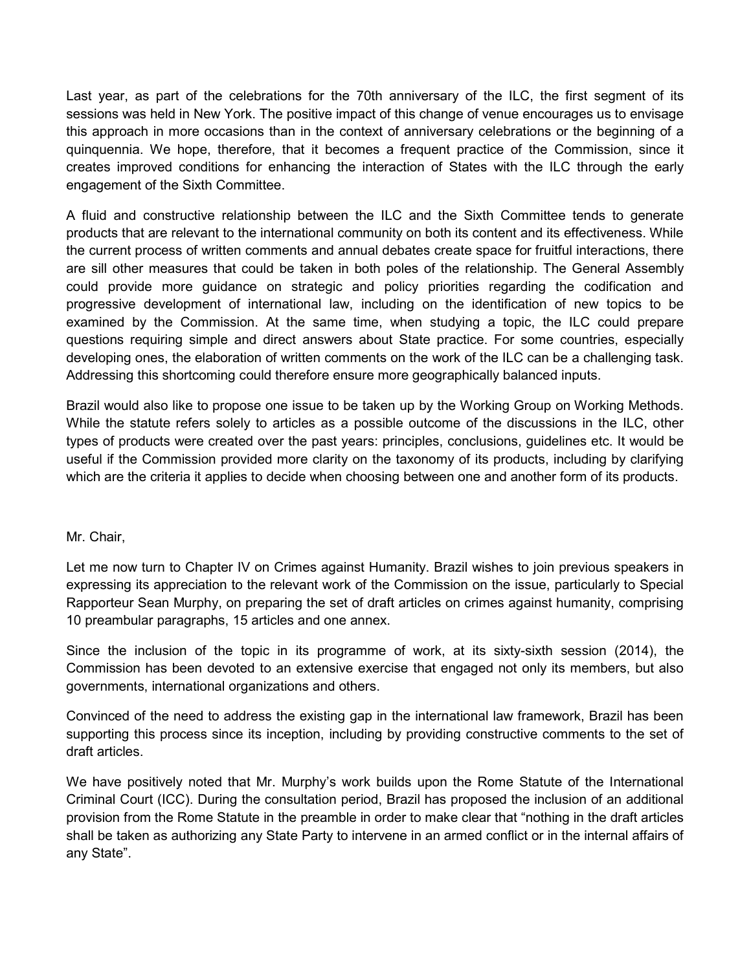Last year, as part of the celebrations for the 70th anniversary of the ILC, the first segment of its sessions was held in New York. The positive impact of this change of venue encourages us to envisage this approach in more occasions than in the context of anniversary celebrations or the beginning of a quinquennia. We hope, therefore, that it becomes a frequent practice of the Commission, since it creates improved conditions for enhancing the interaction of States with the ILC through the early engagement of the Sixth Committee.

A fluid and constructive relationship between the ILC and the Sixth Committee tends to generate products that are relevant to the international community on both its content and its effectiveness. While the current process of written comments and annual debates create space for fruitful interactions, there are sill other measures that could be taken in both poles of the relationship. The General Assembly could provide more guidance on strategic and policy priorities regarding the codification and progressive development of international law, including on the identification of new topics to be examined by the Commission. At the same time, when studying a topic, the ILC could prepare questions requiring simple and direct answers about State practice. For some countries, especially developing ones, the elaboration of written comments on the work of the ILC can be a challenging task. Addressing this shortcoming could therefore ensure more geographically balanced inputs.

Brazil would also like to propose one issue to be taken up by the Working Group on Working Methods. While the statute refers solely to articles as a possible outcome of the discussions in the ILC, other types of products were created over the past years: principles, conclusions, guidelines etc. It would be useful if the Commission provided more clarity on the taxonomy of its products, including by clarifying which are the criteria it applies to decide when choosing between one and another form of its products.

# Mr. Chair,

Let me now turn to Chapter IV on Crimes against Humanity. Brazil wishes to join previous speakers in expressing its appreciation to the relevant work of the Commission on the issue, particularly to Special Rapporteur Sean Murphy, on preparing the set of draft articles on crimes against humanity, comprising 10 preambular paragraphs, 15 articles and one annex.

Since the inclusion of the topic in its programme of work, at its sixty-sixth session (2014), the Commission has been devoted to an extensive exercise that engaged not only its members, but also governments, international organizations and others.

Convinced of the need to address the existing gap in the international law framework, Brazil has been supporting this process since its inception, including by providing constructive comments to the set of draft articles.

We have positively noted that Mr. Murphy's work builds upon the Rome Statute of the International Criminal Court (ICC). During the consultation period, Brazil has proposed the inclusion of an additional provision from the Rome Statute in the preamble in order to make clear that "nothing in the draft articles shall be taken as authorizing any State Party to intervene in an armed conflict or in the internal affairs of any State".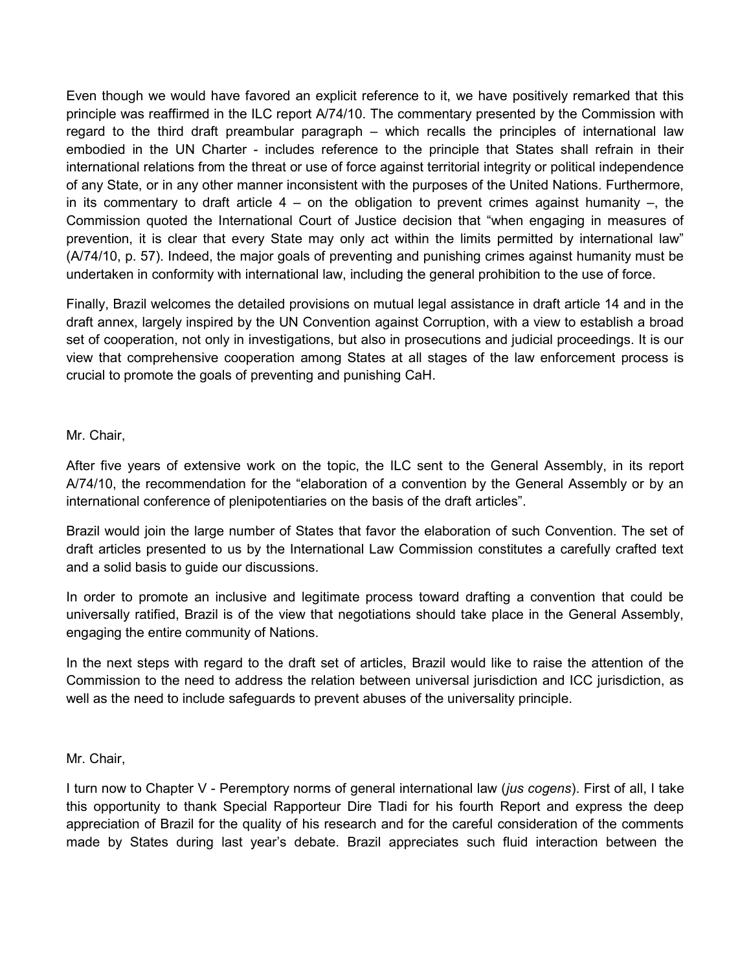Even though we would have favored an explicit reference to it, we have positively remarked that this principle was reaffirmed in the ILC report A/74/10. The commentary presented by the Commission with regard to the third draft preambular paragraph – which recalls the principles of international law embodied in the UN Charter - includes reference to the principle that States shall refrain in their international relations from the threat or use of force against territorial integrity or political independence of any State, or in any other manner inconsistent with the purposes of the United Nations. Furthermore, in its commentary to draft article  $4 -$  on the obligation to prevent crimes against humanity  $-$ , the Commission quoted the International Court of Justice decision that "when engaging in measures of prevention, it is clear that every State may only act within the limits permitted by international law" (A/74/10, p. 57). Indeed, the major goals of preventing and punishing crimes against humanity must be undertaken in conformity with international law, including the general prohibition to the use of force.

Finally, Brazil welcomes the detailed provisions on mutual legal assistance in draft article 14 and in the draft annex, largely inspired by the UN Convention against Corruption, with a view to establish a broad set of cooperation, not only in investigations, but also in prosecutions and judicial proceedings. It is our view that comprehensive cooperation among States at all stages of the law enforcement process is crucial to promote the goals of preventing and punishing CaH.

# Mr. Chair,

After five years of extensive work on the topic, the ILC sent to the General Assembly, in its report A/74/10, the recommendation for the "elaboration of a convention by the General Assembly or by an international conference of plenipotentiaries on the basis of the draft articles".

Brazil would join the large number of States that favor the elaboration of such Convention. The set of draft articles presented to us by the International Law Commission constitutes a carefully crafted text and a solid basis to guide our discussions.

In order to promote an inclusive and legitimate process toward drafting a convention that could be universally ratified, Brazil is of the view that negotiations should take place in the General Assembly, engaging the entire community of Nations.

In the next steps with regard to the draft set of articles, Brazil would like to raise the attention of the Commission to the need to address the relation between universal jurisdiction and ICC jurisdiction, as well as the need to include safeguards to prevent abuses of the universality principle.

# Mr. Chair,

I turn now to Chapter V - Peremptory norms of general international law (*jus cogens*). First of all, I take this opportunity to thank Special Rapporteur Dire Tladi for his fourth Report and express the deep appreciation of Brazil for the quality of his research and for the careful consideration of the comments made by States during last year's debate. Brazil appreciates such fluid interaction between the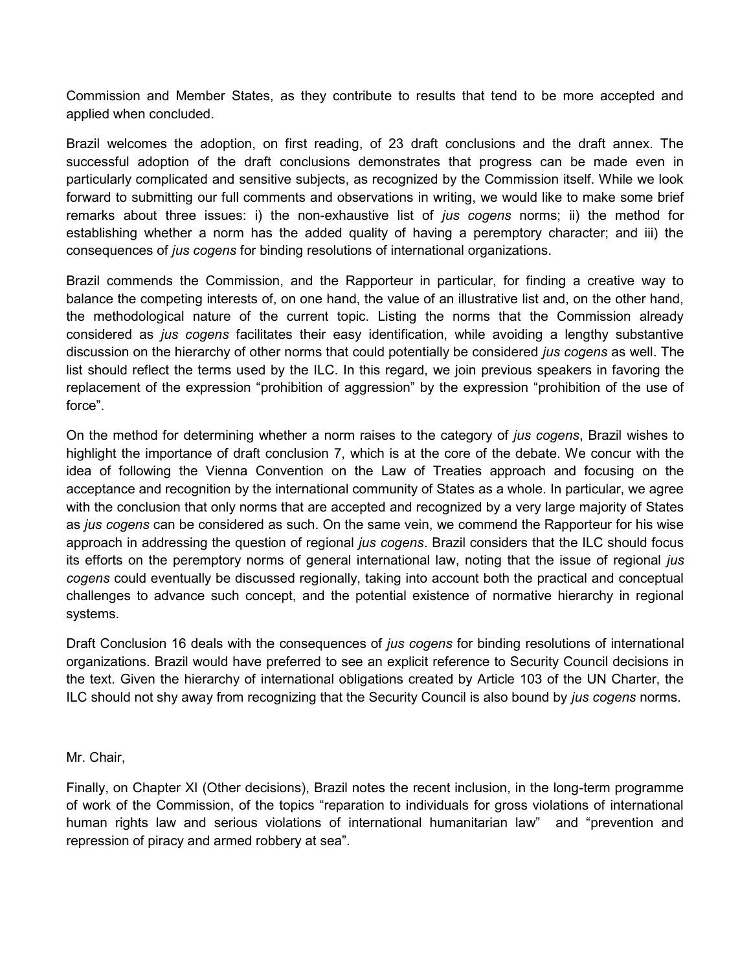Commission and Member States, as they contribute to results that tend to be more accepted and applied when concluded.

Brazil welcomes the adoption, on first reading, of 23 draft conclusions and the draft annex. The successful adoption of the draft conclusions demonstrates that progress can be made even in particularly complicated and sensitive subjects, as recognized by the Commission itself. While we look forward to submitting our full comments and observations in writing, we would like to make some brief remarks about three issues: i) the non-exhaustive list of *jus cogens* norms; ii) the method for establishing whether a norm has the added quality of having a peremptory character; and iii) the consequences of jus cogens for binding resolutions of international organizations.

Brazil commends the Commission, and the Rapporteur in particular, for finding a creative way to balance the competing interests of, on one hand, the value of an illustrative list and, on the other hand, the methodological nature of the current topic. Listing the norms that the Commission already considered as jus cogens facilitates their easy identification, while avoiding a lengthy substantive discussion on the hierarchy of other norms that could potentially be considered *jus cogens* as well. The list should reflect the terms used by the ILC. In this regard, we join previous speakers in favoring the replacement of the expression "prohibition of aggression" by the expression "prohibition of the use of force".

On the method for determining whether a norm raises to the category of *jus cogens*, Brazil wishes to highlight the importance of draft conclusion 7, which is at the core of the debate. We concur with the idea of following the Vienna Convention on the Law of Treaties approach and focusing on the acceptance and recognition by the international community of States as a whole. In particular, we agree with the conclusion that only norms that are accepted and recognized by a very large majority of States as jus cogens can be considered as such. On the same vein, we commend the Rapporteur for his wise approach in addressing the question of regional *jus cogens*. Brazil considers that the ILC should focus its efforts on the peremptory norms of general international law, noting that the issue of regional jus cogens could eventually be discussed regionally, taking into account both the practical and conceptual challenges to advance such concept, and the potential existence of normative hierarchy in regional systems.

Draft Conclusion 16 deals with the consequences of *jus cogens* for binding resolutions of international organizations. Brazil would have preferred to see an explicit reference to Security Council decisions in the text. Given the hierarchy of international obligations created by Article 103 of the UN Charter, the ILC should not shy away from recognizing that the Security Council is also bound by jus cogens norms.

### Mr. Chair,

Finally, on Chapter XI (Other decisions), Brazil notes the recent inclusion, in the long-term programme of work of the Commission, of the topics "reparation to individuals for gross violations of international human rights law and serious violations of international humanitarian law" and "prevention and repression of piracy and armed robbery at sea".